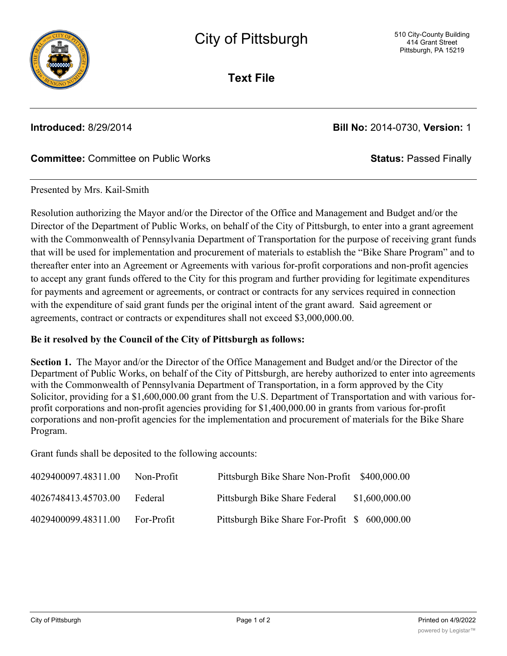

**Text File**

**Introduced:** 8/29/2014 **Bill No:** 2014-0730, **Version:** 1

## **Committee:** Committee on Public Works **Status:** Passed Finally

## Presented by Mrs. Kail-Smith

Resolution authorizing the Mayor and/or the Director of the Office and Management and Budget and/or the Director of the Department of Public Works, on behalf of the City of Pittsburgh, to enter into a grant agreement with the Commonwealth of Pennsylvania Department of Transportation for the purpose of receiving grant funds that will be used for implementation and procurement of materials to establish the "Bike Share Program" and to thereafter enter into an Agreement or Agreements with various for-profit corporations and non-profit agencies to accept any grant funds offered to the City for this program and further providing for legitimate expenditures for payments and agreement or agreements, or contract or contracts for any services required in connection with the expenditure of said grant funds per the original intent of the grant award. Said agreement or agreements, contract or contracts or expenditures shall not exceed \$3,000,000.00.

## **Be it resolved by the Council of the City of Pittsburgh as follows:**

**Section 1.** The Mayor and/or the Director of the Office Management and Budget and/or the Director of the Department of Public Works, on behalf of the City of Pittsburgh, are hereby authorized to enter into agreements with the Commonwealth of Pennsylvania Department of Transportation, in a form approved by the City Solicitor, providing for a \$1,600,000.00 grant from the U.S. Department of Transportation and with various forprofit corporations and non-profit agencies providing for \$1,400,000.00 in grants from various for-profit corporations and non-profit agencies for the implementation and procurement of materials for the Bike Share Program.

Grant funds shall be deposited to the following accounts:

| 4029400097.48311.00 | Non-Profit | Pittsburgh Bike Share Non-Profit \$400,000.00  |                |
|---------------------|------------|------------------------------------------------|----------------|
| 4026748413.45703.00 | Federal    | Pittsburgh Bike Share Federal                  | \$1,600,000.00 |
| 4029400099.48311.00 | For-Profit | Pittsburgh Bike Share For-Profit \$ 600,000.00 |                |